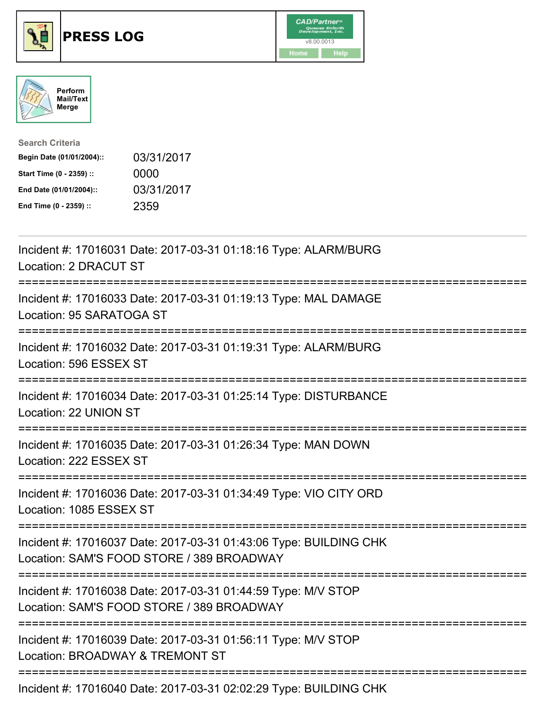





| <b>Search Criteria</b>    |            |
|---------------------------|------------|
| Begin Date (01/01/2004):: | 03/31/2017 |
| Start Time (0 - 2359) ::  | 0000       |
| End Date (01/01/2004)::   | 03/31/2017 |
| End Time (0 - 2359) ::    | 2359       |

| Incident #: 17016031 Date: 2017-03-31 01:18:16 Type: ALARM/BURG<br>Location: 2 DRACUT ST                                                                |
|---------------------------------------------------------------------------------------------------------------------------------------------------------|
| Incident #: 17016033 Date: 2017-03-31 01:19:13 Type: MAL DAMAGE<br>Location: 95 SARATOGA ST                                                             |
| Incident #: 17016032 Date: 2017-03-31 01:19:31 Type: ALARM/BURG<br>Location: 596 ESSEX ST<br>-----------------                                          |
| Incident #: 17016034 Date: 2017-03-31 01:25:14 Type: DISTURBANCE<br>Location: 22 UNION ST<br>_____________________________________                      |
| Incident #: 17016035 Date: 2017-03-31 01:26:34 Type: MAN DOWN<br>Location: 222 ESSEX ST                                                                 |
| Incident #: 17016036 Date: 2017-03-31 01:34:49 Type: VIO CITY ORD<br>Location: 1085 ESSEX ST                                                            |
| Incident #: 17016037 Date: 2017-03-31 01:43:06 Type: BUILDING CHK<br>Location: SAM'S FOOD STORE / 389 BROADWAY<br>;==================================== |
| Incident #: 17016038 Date: 2017-03-31 01:44:59 Type: M/V STOP<br>Location: SAM'S FOOD STORE / 389 BROADWAY                                              |
| Incident #: 17016039 Date: 2017-03-31 01:56:11 Type: M/V STOP<br>Location: BROADWAY & TREMONT ST                                                        |
| Incident #: 17016040 Date: 2017-03-31 02:02:29 Type: BUILDING CHK                                                                                       |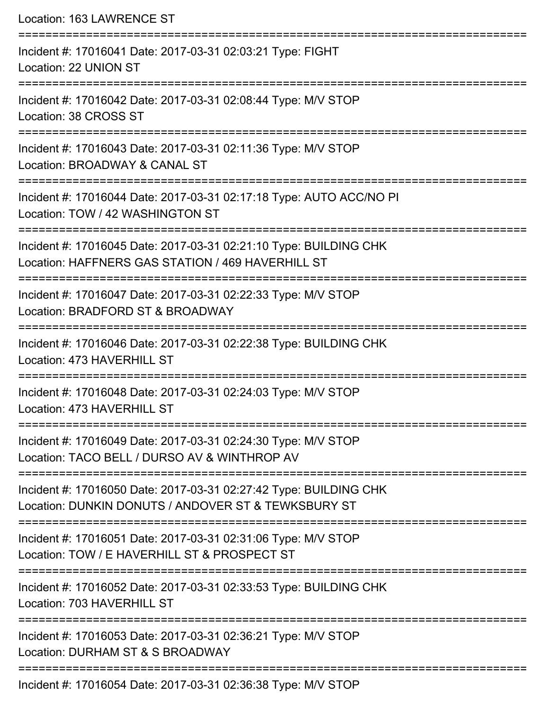| Location: 163 LAWRENCE ST                                                                                                                     |
|-----------------------------------------------------------------------------------------------------------------------------------------------|
| Incident #: 17016041 Date: 2017-03-31 02:03:21 Type: FIGHT<br>Location: 22 UNION ST                                                           |
| Incident #: 17016042 Date: 2017-03-31 02:08:44 Type: M/V STOP<br>Location: 38 CROSS ST                                                        |
| Incident #: 17016043 Date: 2017-03-31 02:11:36 Type: M/V STOP<br>Location: BROADWAY & CANAL ST<br>==============================              |
| Incident #: 17016044 Date: 2017-03-31 02:17:18 Type: AUTO ACC/NO PI<br>Location: TOW / 42 WASHINGTON ST                                       |
| Incident #: 17016045 Date: 2017-03-31 02:21:10 Type: BUILDING CHK<br>Location: HAFFNERS GAS STATION / 469 HAVERHILL ST<br>------------------- |
| Incident #: 17016047 Date: 2017-03-31 02:22:33 Type: M/V STOP<br>Location: BRADFORD ST & BROADWAY                                             |
| Incident #: 17016046 Date: 2017-03-31 02:22:38 Type: BUILDING CHK<br>Location: 473 HAVERHILL ST                                               |
| =====================<br>-----------<br>Incident #: 17016048 Date: 2017-03-31 02:24:03 Type: M/V STOP<br>Location: 473 HAVERHILL ST           |
| Incident #: 17016049 Date: 2017-03-31 02:24:30 Type: M/V STOP<br>Location: TACO BELL / DURSO AV & WINTHROP AV                                 |
| Incident #: 17016050 Date: 2017-03-31 02:27:42 Type: BUILDING CHK<br>Location: DUNKIN DONUTS / ANDOVER ST & TEWKSBURY ST                      |
| Incident #: 17016051 Date: 2017-03-31 02:31:06 Type: M/V STOP<br>Location: TOW / E HAVERHILL ST & PROSPECT ST                                 |
| Incident #: 17016052 Date: 2017-03-31 02:33:53 Type: BUILDING CHK<br>Location: 703 HAVERHILL ST                                               |
| Incident #: 17016053 Date: 2017-03-31 02:36:21 Type: M/V STOP<br>Location: DURHAM ST & S BROADWAY                                             |
| Incident #: 17016054 Date: 2017-03-31 02:36:38 Type: M/V STOP                                                                                 |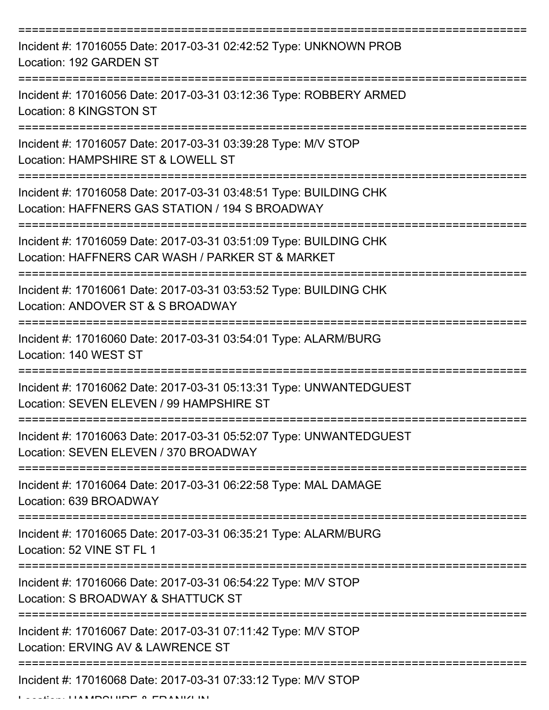| Incident #: 17016055 Date: 2017-03-31 02:42:52 Type: UNKNOWN PROB<br>Location: 192 GARDEN ST                                                            |
|---------------------------------------------------------------------------------------------------------------------------------------------------------|
| Incident #: 17016056 Date: 2017-03-31 03:12:36 Type: ROBBERY ARMED<br>Location: 8 KINGSTON ST                                                           |
| Incident #: 17016057 Date: 2017-03-31 03:39:28 Type: M/V STOP<br>Location: HAMPSHIRE ST & LOWELL ST                                                     |
| Incident #: 17016058 Date: 2017-03-31 03:48:51 Type: BUILDING CHK<br>Location: HAFFNERS GAS STATION / 194 S BROADWAY                                    |
| Incident #: 17016059 Date: 2017-03-31 03:51:09 Type: BUILDING CHK<br>Location: HAFFNERS CAR WASH / PARKER ST & MARKET<br>============================== |
| Incident #: 17016061 Date: 2017-03-31 03:53:52 Type: BUILDING CHK<br>Location: ANDOVER ST & S BROADWAY                                                  |
| Incident #: 17016060 Date: 2017-03-31 03:54:01 Type: ALARM/BURG<br>Location: 140 WEST ST                                                                |
| Incident #: 17016062 Date: 2017-03-31 05:13:31 Type: UNWANTEDGUEST<br>Location: SEVEN ELEVEN / 99 HAMPSHIRE ST                                          |
| Incident #: 17016063 Date: 2017-03-31 05:52:07 Type: UNWANTEDGUEST<br>Location: SEVEN ELEVEN / 370 BROADWAY                                             |
| Incident #: 17016064 Date: 2017-03-31 06:22:58 Type: MAL DAMAGE<br>Location: 639 BROADWAY                                                               |
| Incident #: 17016065 Date: 2017-03-31 06:35:21 Type: ALARM/BURG<br>Location: 52 VINE ST FL 1                                                            |
| Incident #: 17016066 Date: 2017-03-31 06:54:22 Type: M/V STOP<br>Location: S BROADWAY & SHATTUCK ST                                                     |
| Incident #: 17016067 Date: 2017-03-31 07:11:42 Type: M/V STOP<br>Location: ERVING AV & LAWRENCE ST                                                      |
| Incident #: 17016068 Date: 2017-03-31 07:33:12 Type: M/V STOP                                                                                           |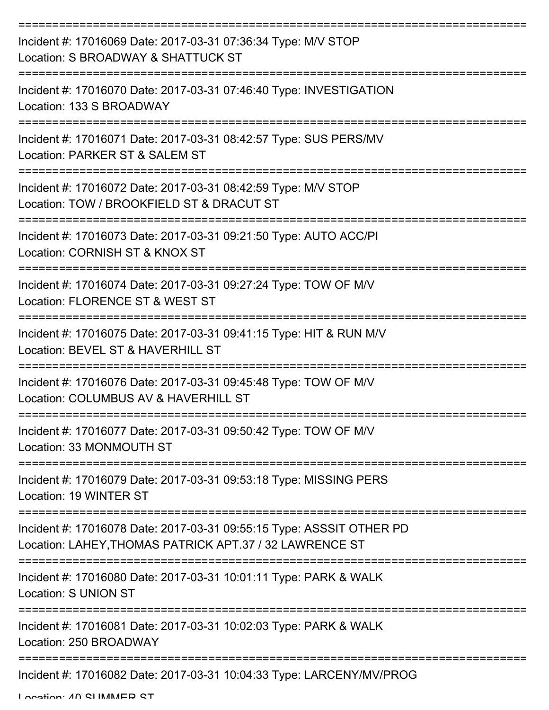| Incident #: 17016069 Date: 2017-03-31 07:36:34 Type: M/V STOP<br>Location: S BROADWAY & SHATTUCK ST                             |
|---------------------------------------------------------------------------------------------------------------------------------|
| Incident #: 17016070 Date: 2017-03-31 07:46:40 Type: INVESTIGATION<br>Location: 133 S BROADWAY                                  |
| Incident #: 17016071 Date: 2017-03-31 08:42:57 Type: SUS PERS/MV<br>Location: PARKER ST & SALEM ST                              |
| Incident #: 17016072 Date: 2017-03-31 08:42:59 Type: M/V STOP<br>Location: TOW / BROOKFIELD ST & DRACUT ST                      |
| Incident #: 17016073 Date: 2017-03-31 09:21:50 Type: AUTO ACC/PI<br>Location: CORNISH ST & KNOX ST                              |
| Incident #: 17016074 Date: 2017-03-31 09:27:24 Type: TOW OF M/V<br>Location: FLORENCE ST & WEST ST                              |
| Incident #: 17016075 Date: 2017-03-31 09:41:15 Type: HIT & RUN M/V<br>Location: BEVEL ST & HAVERHILL ST                         |
| Incident #: 17016076 Date: 2017-03-31 09:45:48 Type: TOW OF M/V<br>Location: COLUMBUS AV & HAVERHILL ST                         |
| Incident #: 17016077 Date: 2017-03-31 09:50:42 Type: TOW OF M/V<br>Location: 33 MONMOUTH ST                                     |
| Incident #: 17016079 Date: 2017-03-31 09:53:18 Type: MISSING PERS<br>Location: 19 WINTER ST                                     |
| Incident #: 17016078 Date: 2017-03-31 09:55:15 Type: ASSSIT OTHER PD<br>Location: LAHEY, THOMAS PATRICK APT.37 / 32 LAWRENCE ST |
| Incident #: 17016080 Date: 2017-03-31 10:01:11 Type: PARK & WALK<br>Location: S UNION ST                                        |
| Incident #: 17016081 Date: 2017-03-31 10:02:03 Type: PARK & WALK<br>Location: 250 BROADWAY                                      |
| Incident #: 17016082 Date: 2017-03-31 10:04:33 Type: LARCENY/MV/PROG                                                            |

Location: 40 CLIMMED CT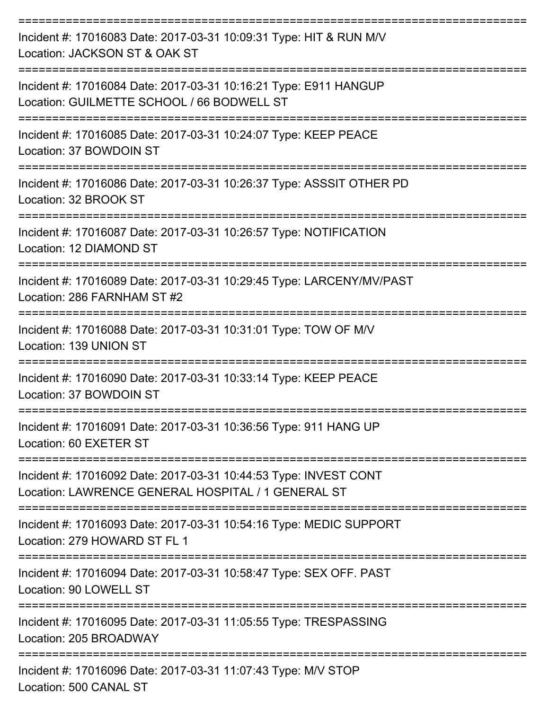| Incident #: 17016083 Date: 2017-03-31 10:09:31 Type: HIT & RUN M/V<br>Location: JACKSON ST & OAK ST                                 |
|-------------------------------------------------------------------------------------------------------------------------------------|
| Incident #: 17016084 Date: 2017-03-31 10:16:21 Type: E911 HANGUP<br>Location: GUILMETTE SCHOOL / 66 BODWELL ST<br>----------------- |
| Incident #: 17016085 Date: 2017-03-31 10:24:07 Type: KEEP PEACE<br>Location: 37 BOWDOIN ST                                          |
| Incident #: 17016086 Date: 2017-03-31 10:26:37 Type: ASSSIT OTHER PD<br>Location: 32 BROOK ST                                       |
| Incident #: 17016087 Date: 2017-03-31 10:26:57 Type: NOTIFICATION<br>Location: 12 DIAMOND ST                                        |
| Incident #: 17016089 Date: 2017-03-31 10:29:45 Type: LARCENY/MV/PAST<br>Location: 286 FARNHAM ST #2                                 |
| Incident #: 17016088 Date: 2017-03-31 10:31:01 Type: TOW OF M/V<br>Location: 139 UNION ST                                           |
| Incident #: 17016090 Date: 2017-03-31 10:33:14 Type: KEEP PEACE<br>Location: 37 BOWDOIN ST                                          |
| Incident #: 17016091 Date: 2017-03-31 10:36:56 Type: 911 HANG UP<br>Location: 60 EXETER ST                                          |
| Incident #: 17016092 Date: 2017-03-31 10:44:53 Type: INVEST CONT<br>Location: LAWRENCE GENERAL HOSPITAL / 1 GENERAL ST              |
| Incident #: 17016093 Date: 2017-03-31 10:54:16 Type: MEDIC SUPPORT<br>Location: 279 HOWARD ST FL 1                                  |
| Incident #: 17016094 Date: 2017-03-31 10:58:47 Type: SEX OFF. PAST<br>Location: 90 LOWELL ST                                        |
| Incident #: 17016095 Date: 2017-03-31 11:05:55 Type: TRESPASSING<br>Location: 205 BROADWAY                                          |
| Incident #: 17016096 Date: 2017-03-31 11:07:43 Type: M/V STOP<br>Location: 500 CANAL ST                                             |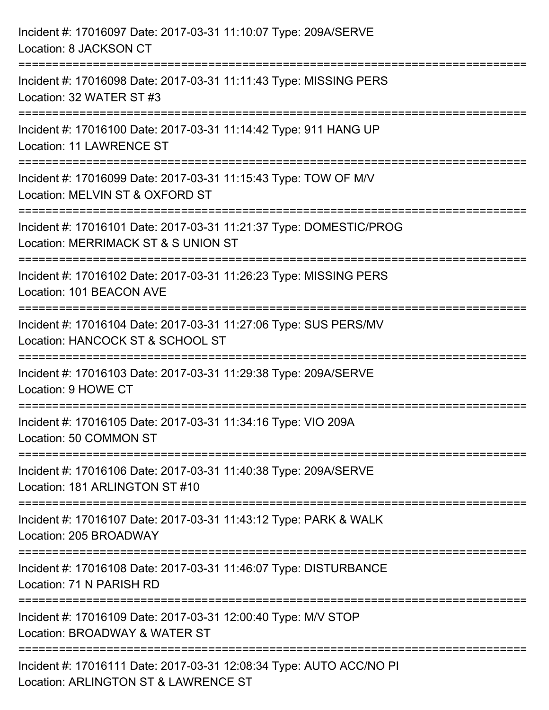| Incident #: 17016097 Date: 2017-03-31 11:10:07 Type: 209A/SERVE<br>Location: 8 JACKSON CT                                       |
|---------------------------------------------------------------------------------------------------------------------------------|
| Incident #: 17016098 Date: 2017-03-31 11:11:43 Type: MISSING PERS<br>Location: 32 WATER ST #3                                   |
| Incident #: 17016100 Date: 2017-03-31 11:14:42 Type: 911 HANG UP<br><b>Location: 11 LAWRENCE ST</b>                             |
| Incident #: 17016099 Date: 2017-03-31 11:15:43 Type: TOW OF M/V<br>Location: MELVIN ST & OXFORD ST<br>------------------------- |
| Incident #: 17016101 Date: 2017-03-31 11:21:37 Type: DOMESTIC/PROG<br>Location: MERRIMACK ST & S UNION ST                       |
| Incident #: 17016102 Date: 2017-03-31 11:26:23 Type: MISSING PERS<br>Location: 101 BEACON AVE                                   |
| Incident #: 17016104 Date: 2017-03-31 11:27:06 Type: SUS PERS/MV<br>Location: HANCOCK ST & SCHOOL ST                            |
| Incident #: 17016103 Date: 2017-03-31 11:29:38 Type: 209A/SERVE<br>Location: 9 HOWE CT                                          |
| Incident #: 17016105 Date: 2017-03-31 11:34:16 Type: VIO 209A<br>Location: 50 COMMON ST                                         |
| Incident #: 17016106 Date: 2017-03-31 11:40:38 Type: 209A/SERVE<br>Location: 181 ARLINGTON ST #10                               |
| Incident #: 17016107 Date: 2017-03-31 11:43:12 Type: PARK & WALK<br>Location: 205 BROADWAY                                      |
| Incident #: 17016108 Date: 2017-03-31 11:46:07 Type: DISTURBANCE<br>Location: 71 N PARISH RD                                    |
| Incident #: 17016109 Date: 2017-03-31 12:00:40 Type: M/V STOP<br>Location: BROADWAY & WATER ST                                  |
| Incident #: 17016111 Date: 2017-03-31 12:08:34 Type: AUTO ACC/NO PI<br>Location: ARLINGTON ST & LAWRENCE ST                     |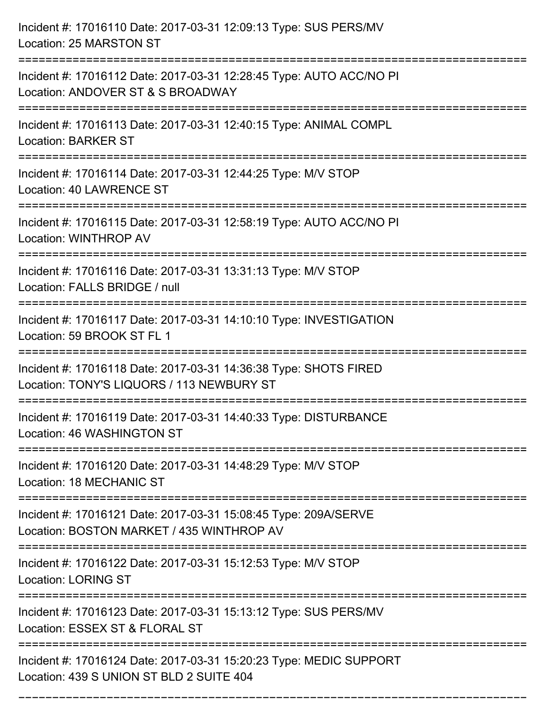| Incident #: 17016110 Date: 2017-03-31 12:09:13 Type: SUS PERS/MV<br>Location: 25 MARSTON ST                                         |
|-------------------------------------------------------------------------------------------------------------------------------------|
| Incident #: 17016112 Date: 2017-03-31 12:28:45 Type: AUTO ACC/NO PI<br>Location: ANDOVER ST & S BROADWAY                            |
| Incident #: 17016113 Date: 2017-03-31 12:40:15 Type: ANIMAL COMPL<br><b>Location: BARKER ST</b>                                     |
| Incident #: 17016114 Date: 2017-03-31 12:44:25 Type: M/V STOP<br>Location: 40 LAWRENCE ST                                           |
| Incident #: 17016115 Date: 2017-03-31 12:58:19 Type: AUTO ACC/NO PI<br><b>Location: WINTHROP AV</b>                                 |
| Incident #: 17016116 Date: 2017-03-31 13:31:13 Type: M/V STOP<br>Location: FALLS BRIDGE / null                                      |
| Incident #: 17016117 Date: 2017-03-31 14:10:10 Type: INVESTIGATION<br>Location: 59 BROOK ST FL 1                                    |
| Incident #: 17016118 Date: 2017-03-31 14:36:38 Type: SHOTS FIRED<br>Location: TONY'S LIQUORS / 113 NEWBURY ST                       |
| Incident #: 17016119 Date: 2017-03-31 14:40:33 Type: DISTURBANCE<br>Location: 46 WASHINGTON ST                                      |
| Incident #: 17016120 Date: 2017-03-31 14:48:29 Type: M/V STOP<br><b>Location: 18 MECHANIC ST</b>                                    |
| Incident #: 17016121 Date: 2017-03-31 15:08:45 Type: 209A/SERVE<br>Location: BOSTON MARKET / 435 WINTHROP AV                        |
| Incident #: 17016122 Date: 2017-03-31 15:12:53 Type: M/V STOP<br><b>Location: LORING ST</b>                                         |
| Incident #: 17016123 Date: 2017-03-31 15:13:12 Type: SUS PERS/MV<br>Location: ESSEX ST & FLORAL ST                                  |
| -----------------<br>Incident #: 17016124 Date: 2017-03-31 15:20:23 Type: MEDIC SUPPORT<br>Location: 439 S UNION ST BLD 2 SUITE 404 |

===========================================================================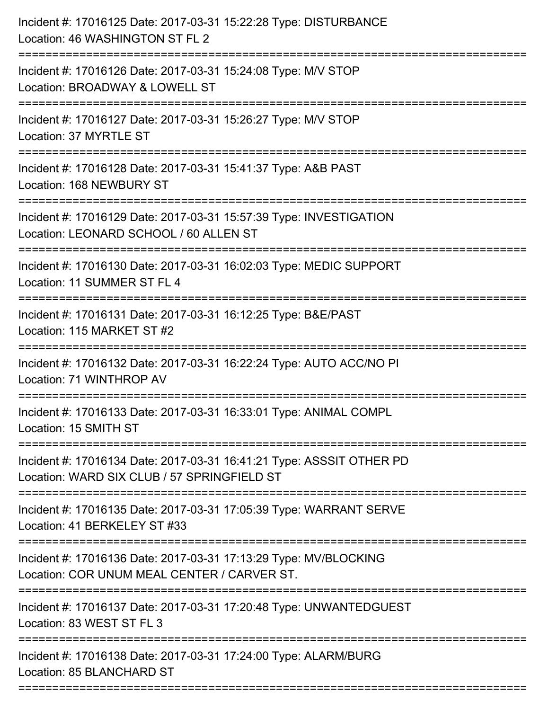| Incident #: 17016125 Date: 2017-03-31 15:22:28 Type: DISTURBANCE<br>Location: 46 WASHINGTON ST FL 2<br>:======================== |
|----------------------------------------------------------------------------------------------------------------------------------|
| Incident #: 17016126 Date: 2017-03-31 15:24:08 Type: M/V STOP<br>Location: BROADWAY & LOWELL ST                                  |
| Incident #: 17016127 Date: 2017-03-31 15:26:27 Type: M/V STOP<br>Location: 37 MYRTLE ST                                          |
| Incident #: 17016128 Date: 2017-03-31 15:41:37 Type: A&B PAST<br>Location: 168 NEWBURY ST                                        |
| Incident #: 17016129 Date: 2017-03-31 15:57:39 Type: INVESTIGATION<br>Location: LEONARD SCHOOL / 60 ALLEN ST                     |
| Incident #: 17016130 Date: 2017-03-31 16:02:03 Type: MEDIC SUPPORT<br>Location: 11 SUMMER ST FL 4<br>:===================        |
| Incident #: 17016131 Date: 2017-03-31 16:12:25 Type: B&E/PAST<br>Location: 115 MARKET ST #2<br>--------------------------------- |
| Incident #: 17016132 Date: 2017-03-31 16:22:24 Type: AUTO ACC/NO PI<br>Location: 71 WINTHROP AV                                  |
| Incident #: 17016133 Date: 2017-03-31 16:33:01 Type: ANIMAL COMPL<br>Location: 15 SMITH ST                                       |
| Incident #: 17016134 Date: 2017-03-31 16:41:21 Type: ASSSIT OTHER PD<br>Location: WARD SIX CLUB / 57 SPRINGFIELD ST              |
| Incident #: 17016135 Date: 2017-03-31 17:05:39 Type: WARRANT SERVE<br>Location: 41 BERKELEY ST #33                               |
| Incident #: 17016136 Date: 2017-03-31 17:13:29 Type: MV/BLOCKING<br>Location: COR UNUM MEAL CENTER / CARVER ST.                  |
| Incident #: 17016137 Date: 2017-03-31 17:20:48 Type: UNWANTEDGUEST<br>Location: 83 WEST ST FL 3                                  |
| Incident #: 17016138 Date: 2017-03-31 17:24:00 Type: ALARM/BURG<br>Location: 85 BLANCHARD ST                                     |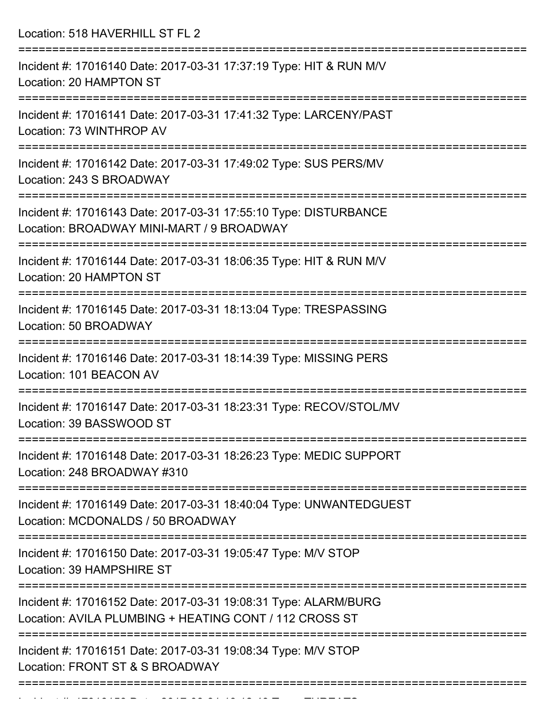Location: 518 HAVERHILL ST FL 2

=========================================================================== Incident #: 17016140 Date: 2017-03-31 17:37:19 Type: HIT & RUN M/V Location: 20 HAMPTON ST =========================================================================== Incident #: 17016141 Date: 2017-03-31 17:41:32 Type: LARCENY/PAST Location: 73 WINTHROP AV =========================================================================== Incident #: 17016142 Date: 2017-03-31 17:49:02 Type: SUS PERS/MV Location: 243 S BROADWAY =========================================================================== Incident #: 17016143 Date: 2017-03-31 17:55:10 Type: DISTURBANCE Location: BROADWAY MINI-MART / 9 BROADWAY =========================================================================== Incident #: 17016144 Date: 2017-03-31 18:06:35 Type: HIT & RUN M/V Location: 20 HAMPTON ST =========================================================================== Incident #: 17016145 Date: 2017-03-31 18:13:04 Type: TRESPASSING Location: 50 BROADWAY =========================================================================== Incident #: 17016146 Date: 2017-03-31 18:14:39 Type: MISSING PERS Location: 101 BEACON AV =========================================================================== Incident #: 17016147 Date: 2017-03-31 18:23:31 Type: RECOV/STOL/MV Location: 39 BASSWOOD ST =========================================================================== Incident #: 17016148 Date: 2017-03-31 18:26:23 Type: MEDIC SUPPORT Location: 248 BROADWAY #310 =========================================================================== Incident #: 17016149 Date: 2017-03-31 18:40:04 Type: UNWANTEDGUEST Location: MCDONALDS / 50 BROADWAY =========================================================================== Incident #: 17016150 Date: 2017-03-31 19:05:47 Type: M/V STOP Location: 39 HAMPSHIRE ST =========================================================================== Incident #: 17016152 Date: 2017-03-31 19:08:31 Type: ALARM/BURG Location: AVILA PLUMBING + HEATING CONT / 112 CROSS ST =========================================================================== Incident #: 17016151 Date: 2017-03-31 19:08:34 Type: M/V STOP Location: FRONT ST & S BROADWAY ===========================================================================

Incident #: 17016153 Date: 2017 03 31 19:12:43 Type: THREATS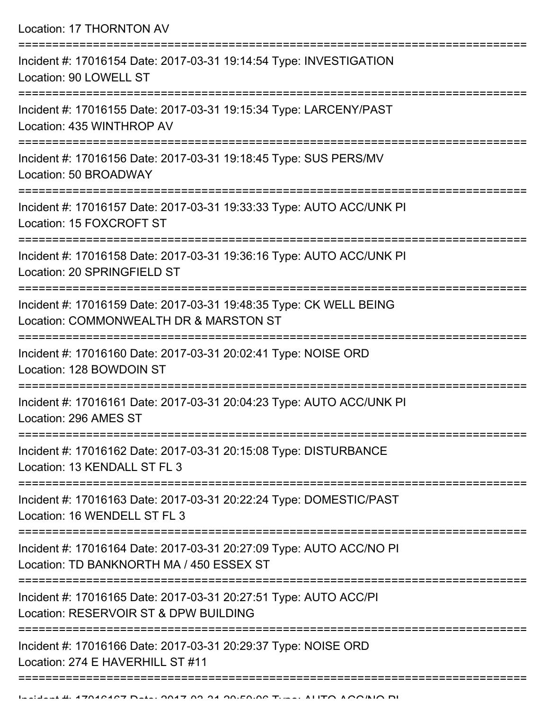| Location: 17 THORNTON AV<br>--------------------------------                                                    |
|-----------------------------------------------------------------------------------------------------------------|
| Incident #: 17016154 Date: 2017-03-31 19:14:54 Type: INVESTIGATION<br>Location: 90 LOWELL ST                    |
| Incident #: 17016155 Date: 2017-03-31 19:15:34 Type: LARCENY/PAST<br>Location: 435 WINTHROP AV                  |
| Incident #: 17016156 Date: 2017-03-31 19:18:45 Type: SUS PERS/MV<br>Location: 50 BROADWAY                       |
| Incident #: 17016157 Date: 2017-03-31 19:33:33 Type: AUTO ACC/UNK PI<br>Location: 15 FOXCROFT ST                |
| Incident #: 17016158 Date: 2017-03-31 19:36:16 Type: AUTO ACC/UNK PI<br>Location: 20 SPRINGFIELD ST             |
| Incident #: 17016159 Date: 2017-03-31 19:48:35 Type: CK WELL BEING<br>Location: COMMONWEALTH DR & MARSTON ST    |
| Incident #: 17016160 Date: 2017-03-31 20:02:41 Type: NOISE ORD<br>Location: 128 BOWDOIN ST                      |
| Incident #: 17016161 Date: 2017-03-31 20:04:23 Type: AUTO ACC/UNK PI<br>Location: 296 AMES ST                   |
| Incident #: 17016162 Date: 2017-03-31 20:15:08 Type: DISTURBANCE<br>Location: 13 KENDALL ST FL 3                |
| Incident #: 17016163 Date: 2017-03-31 20:22:24 Type: DOMESTIC/PAST<br>Location: 16 WENDELL ST FL 3              |
| Incident #: 17016164 Date: 2017-03-31 20:27:09 Type: AUTO ACC/NO PI<br>Location: TD BANKNORTH MA / 450 ESSEX ST |
| Incident #: 17016165 Date: 2017-03-31 20:27:51 Type: AUTO ACC/PI<br>Location: RESERVOIR ST & DPW BUILDING       |
| Incident #: 17016166 Date: 2017-03-31 20:29:37 Type: NOISE ORD<br>Location: 274 E HAVERHILL ST #11              |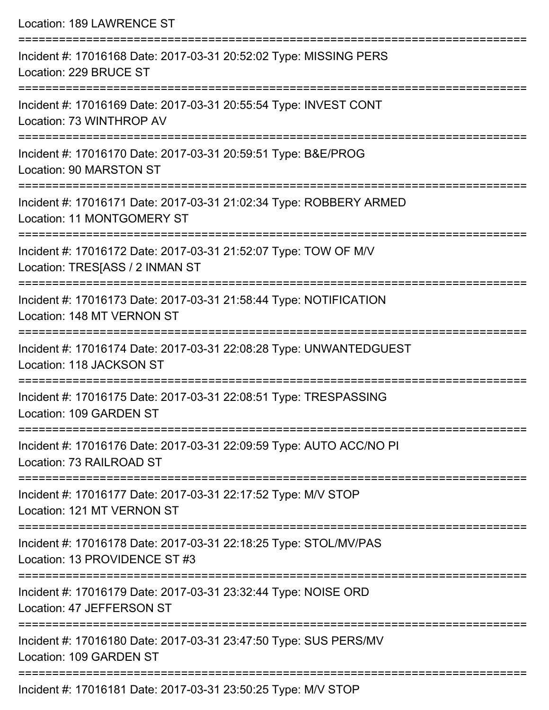| Location: 189 LAWRENCE ST                                                                                                   |
|-----------------------------------------------------------------------------------------------------------------------------|
| Incident #: 17016168 Date: 2017-03-31 20:52:02 Type: MISSING PERS<br>Location: 229 BRUCE ST                                 |
| Incident #: 17016169 Date: 2017-03-31 20:55:54 Type: INVEST CONT<br>Location: 73 WINTHROP AV                                |
| Incident #: 17016170 Date: 2017-03-31 20:59:51 Type: B&E/PROG<br>Location: 90 MARSTON ST                                    |
| Incident #: 17016171 Date: 2017-03-31 21:02:34 Type: ROBBERY ARMED<br>Location: 11 MONTGOMERY ST                            |
| Incident #: 17016172 Date: 2017-03-31 21:52:07 Type: TOW OF M/V<br>Location: TRES[ASS / 2 INMAN ST                          |
| Incident #: 17016173 Date: 2017-03-31 21:58:44 Type: NOTIFICATION<br>Location: 148 MT VERNON ST                             |
| Incident #: 17016174 Date: 2017-03-31 22:08:28 Type: UNWANTEDGUEST<br>Location: 118 JACKSON ST                              |
| Incident #: 17016175 Date: 2017-03-31 22:08:51 Type: TRESPASSING<br>Location: 109 GARDEN ST                                 |
| Incident #: 17016176 Date: 2017-03-31 22:09:59 Type: AUTO ACC/NO PI<br>Location: 73 RAILROAD ST                             |
| Incident #: 17016177 Date: 2017-03-31 22:17:52 Type: M/V STOP<br>Location: 121 MT VERNON ST                                 |
| Incident #: 17016178 Date: 2017-03-31 22:18:25 Type: STOL/MV/PAS<br>Location: 13 PROVIDENCE ST #3                           |
| ----------------------------<br>Incident #: 17016179 Date: 2017-03-31 23:32:44 Type: NOISE ORD<br>Location: 47 JEFFERSON ST |
| Incident #: 17016180 Date: 2017-03-31 23:47:50 Type: SUS PERS/MV<br>Location: 109 GARDEN ST                                 |

Incident #: 17016181 Date: 2017-03-31 23:50:25 Type: M/V STOP